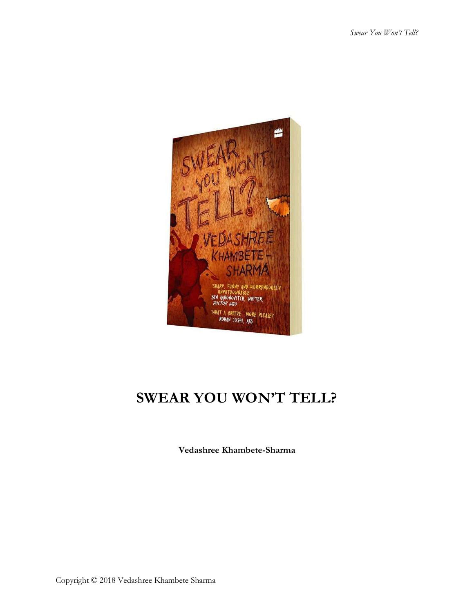

# **SWEAR YOU WON'T TELL?**

**Vedashree Khambete-Sharma**

Copyright © 2018 Vedashree Khambete Sharma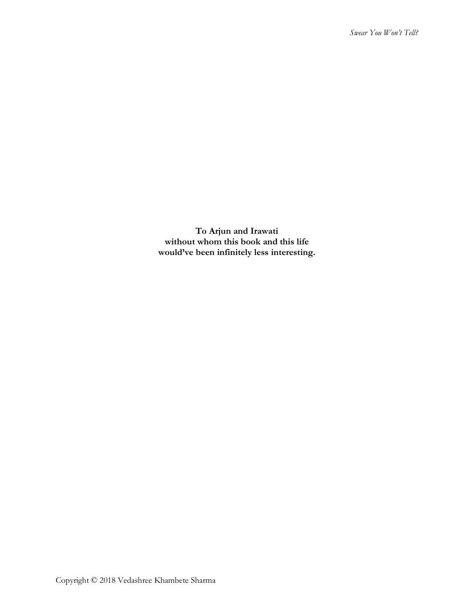**To Arjun and Irawati without whom this book and this life would've been infinitely less interesting.**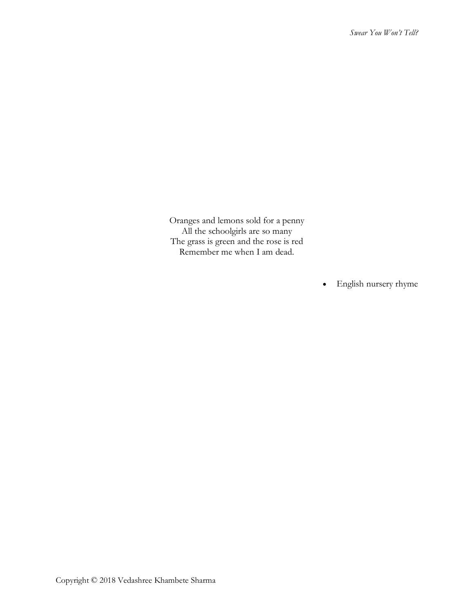Oranges and lemons sold for a penny All the schoolgirls are so many The grass is green and the rose is red Remember me when I am dead.

• English nursery rhyme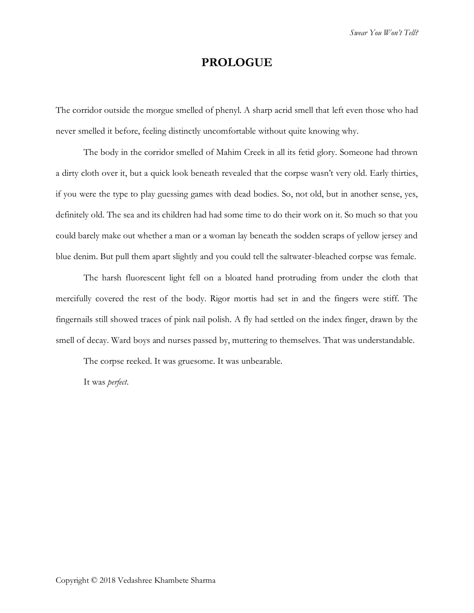# **PROLOGUE**

The corridor outside the morgue smelled of phenyl. A sharp acrid smell that left even those who had never smelled it before, feeling distinctly uncomfortable without quite knowing why.

The body in the corridor smelled of Mahim Creek in all its fetid glory. Someone had thrown a dirty cloth over it, but a quick look beneath revealed that the corpse wasn't very old. Early thirties, if you were the type to play guessing games with dead bodies. So, not old, but in another sense, yes, definitely old. The sea and its children had had some time to do their work on it. So much so that you could barely make out whether a man or a woman lay beneath the sodden scraps of yellow jersey and blue denim. But pull them apart slightly and you could tell the saltwater-bleached corpse was female.

The harsh fluorescent light fell on a bloated hand protruding from under the cloth that mercifully covered the rest of the body. Rigor mortis had set in and the fingers were stiff. The fingernails still showed traces of pink nail polish. A fly had settled on the index finger, drawn by the smell of decay. Ward boys and nurses passed by, muttering to themselves. That was understandable.

The corpse reeked. It was gruesome. It was unbearable.

It was *perfect*.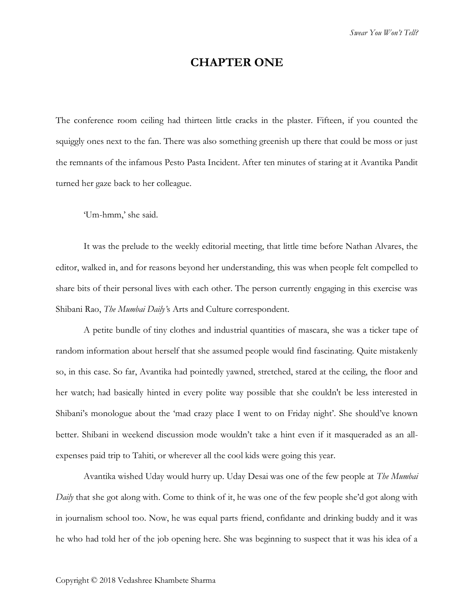### **CHAPTER ONE**

The conference room ceiling had thirteen little cracks in the plaster. Fifteen, if you counted the squiggly ones next to the fan. There was also something greenish up there that could be moss or just the remnants of the infamous Pesto Pasta Incident. After ten minutes of staring at it Avantika Pandit turned her gaze back to her colleague.

'Um-hmm,' she said.

It was the prelude to the weekly editorial meeting, that little time before Nathan Alvares, the editor, walked in, and for reasons beyond her understanding, this was when people felt compelled to share bits of their personal lives with each other. The person currently engaging in this exercise was Shibani Rao, *The Mumbai Daily'*s Arts and Culture correspondent.

A petite bundle of tiny clothes and industrial quantities of mascara, she was a ticker tape of random information about herself that she assumed people would find fascinating. Quite mistakenly so, in this case. So far, Avantika had pointedly yawned, stretched, stared at the ceiling, the floor and her watch; had basically hinted in every polite way possible that she couldn't be less interested in Shibani's monologue about the 'mad crazy place I went to on Friday night'. She should've known better. Shibani in weekend discussion mode wouldn't take a hint even if it masqueraded as an allexpenses paid trip to Tahiti, or wherever all the cool kids were going this year.

Avantika wished Uday would hurry up. Uday Desai was one of the few people at *The Mumbai Daily* that she got along with. Come to think of it, he was one of the few people she'd got along with in journalism school too. Now, he was equal parts friend, confidante and drinking buddy and it was he who had told her of the job opening here. She was beginning to suspect that it was his idea of a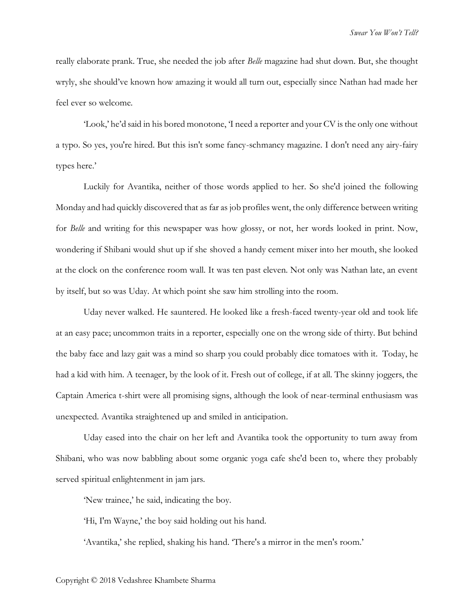really elaborate prank. True, she needed the job after *Belle* magazine had shut down. But, she thought wryly, she should've known how amazing it would all turn out, especially since Nathan had made her feel ever so welcome.

'Look,' he'd said in his bored monotone, 'I need a reporter and your CV is the only one without a typo. So yes, you're hired. But this isn't some fancy-schmancy magazine. I don't need any airy-fairy types here.'

Luckily for Avantika, neither of those words applied to her. So she'd joined the following Monday and had quickly discovered that as far as job profiles went, the only difference between writing for *Belle* and writing for this newspaper was how glossy, or not, her words looked in print. Now, wondering if Shibani would shut up if she shoved a handy cement mixer into her mouth, she looked at the clock on the conference room wall. It was ten past eleven. Not only was Nathan late, an event by itself, but so was Uday. At which point she saw him strolling into the room.

Uday never walked. He sauntered. He looked like a fresh-faced twenty-year old and took life at an easy pace; uncommon traits in a reporter, especially one on the wrong side of thirty. But behind the baby face and lazy gait was a mind so sharp you could probably dice tomatoes with it. Today, he had a kid with him. A teenager, by the look of it. Fresh out of college, if at all. The skinny joggers, the Captain America t-shirt were all promising signs, although the look of near-terminal enthusiasm was unexpected. Avantika straightened up and smiled in anticipation.

Uday eased into the chair on her left and Avantika took the opportunity to turn away from Shibani, who was now babbling about some organic yoga cafe she'd been to, where they probably served spiritual enlightenment in jam jars.

'New trainee,' he said, indicating the boy.

'Hi, I'm Wayne,' the boy said holding out his hand.

'Avantika,' she replied, shaking his hand. 'There's a mirror in the men's room.'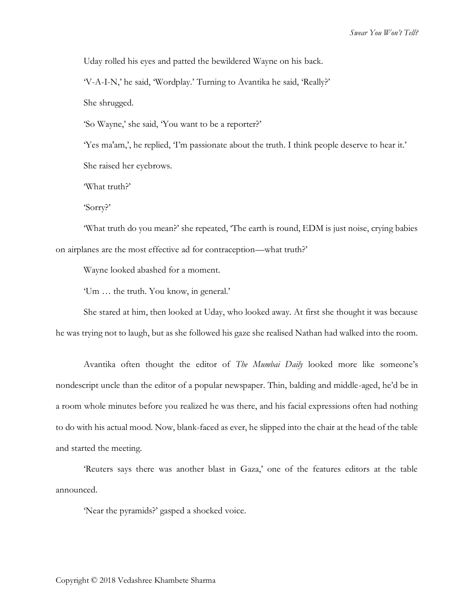Uday rolled his eyes and patted the bewildered Wayne on his back.

'V-A-I-N,' he said, 'Wordplay.' Turning to Avantika he said, 'Really?'

She shrugged.

'So Wayne,' she said, 'You want to be a reporter?'

'Yes ma'am,', he replied, 'I'm passionate about the truth. I think people deserve to hear it.' She raised her eyebrows.

'What truth?'

'Sorry?'

'What truth do you mean?' she repeated, 'The earth is round, EDM is just noise, crying babies on airplanes are the most effective ad for contraception—what truth?'

Wayne looked abashed for a moment.

'Um … the truth. You know, in general.'

She stared at him, then looked at Uday, who looked away. At first she thought it was because he was trying not to laugh, but as she followed his gaze she realised Nathan had walked into the room.

Avantika often thought the editor of *The Mumbai Daily* looked more like someone's nondescript uncle than the editor of a popular newspaper. Thin, balding and middle-aged, he'd be in a room whole minutes before you realized he was there, and his facial expressions often had nothing to do with his actual mood. Now, blank-faced as ever, he slipped into the chair at the head of the table and started the meeting.

'Reuters says there was another blast in Gaza,' one of the features editors at the table announced.

'Near the pyramids?' gasped a shocked voice.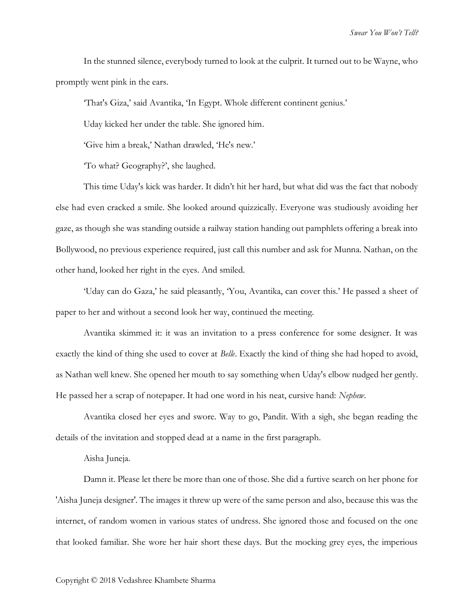In the stunned silence, everybody turned to look at the culprit. It turned out to be Wayne, who promptly went pink in the ears.

'That's Giza,' said Avantika, 'In Egypt. Whole different continent genius.'

Uday kicked her under the table. She ignored him.

'Give him a break,' Nathan drawled, 'He's new.'

'To what? Geography?', she laughed.

This time Uday's kick was harder. It didn't hit her hard, but what did was the fact that nobody else had even cracked a smile. She looked around quizzically. Everyone was studiously avoiding her gaze, as though she was standing outside a railway station handing out pamphlets offering a break into Bollywood, no previous experience required, just call this number and ask for Munna. Nathan, on the other hand, looked her right in the eyes. And smiled.

'Uday can do Gaza,' he said pleasantly, 'You, Avantika, can cover this.' He passed a sheet of paper to her and without a second look her way, continued the meeting.

Avantika skimmed it: it was an invitation to a press conference for some designer. It was exactly the kind of thing she used to cover at *Belle*. Exactly the kind of thing she had hoped to avoid, as Nathan well knew. She opened her mouth to say something when Uday's elbow nudged her gently. He passed her a scrap of notepaper. It had one word in his neat, cursive hand: *Nephew*.

Avantika closed her eyes and swore. Way to go, Pandit. With a sigh, she began reading the details of the invitation and stopped dead at a name in the first paragraph.

#### Aisha Juneja.

Damn it. Please let there be more than one of those. She did a furtive search on her phone for 'Aisha Juneja designer'. The images it threw up were of the same person and also, because this was the internet, of random women in various states of undress. She ignored those and focused on the one that looked familiar. She wore her hair short these days. But the mocking grey eyes, the imperious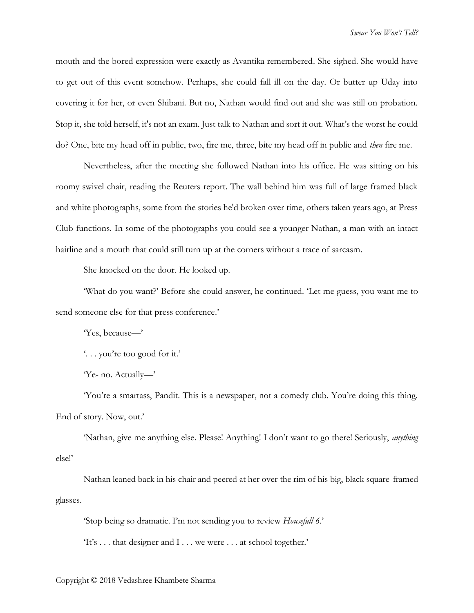mouth and the bored expression were exactly as Avantika remembered. She sighed. She would have to get out of this event somehow. Perhaps, she could fall ill on the day. Or butter up Uday into covering it for her, or even Shibani. But no, Nathan would find out and she was still on probation. Stop it, she told herself, it's not an exam. Just talk to Nathan and sort it out. What's the worst he could do? One, bite my head off in public, two, fire me, three, bite my head off in public and *then* fire me.

Nevertheless, after the meeting she followed Nathan into his office. He was sitting on his roomy swivel chair, reading the Reuters report. The wall behind him was full of large framed black and white photographs, some from the stories he'd broken over time, others taken years ago, at Press Club functions. In some of the photographs you could see a younger Nathan, a man with an intact hairline and a mouth that could still turn up at the corners without a trace of sarcasm.

She knocked on the door. He looked up.

'What do you want?' Before she could answer, he continued. 'Let me guess, you want me to send someone else for that press conference.'

'Yes, because—'

'. . . you're too good for it.'

'Ye- no. Actually—'

'You're a smartass, Pandit. This is a newspaper, not a comedy club. You're doing this thing. End of story. Now, out.'

'Nathan, give me anything else. Please! Anything! I don't want to go there! Seriously, *anything* else!'

Nathan leaned back in his chair and peered at her over the rim of his big, black square-framed glasses.

'Stop being so dramatic. I'm not sending you to review *Housefull 6*.'

'It's . . . that designer and I . . . we were . . . at school together.'

Copyright © 2018 Vedashree Khambete Sharma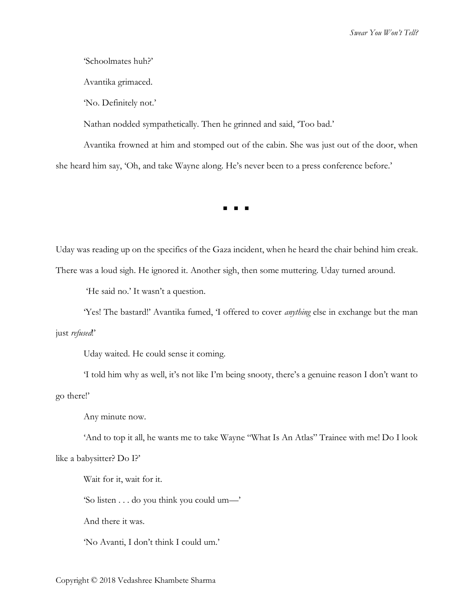*Swear You Won't Tell?*

'Schoolmates huh?'

Avantika grimaced.

'No. Definitely not.'

Nathan nodded sympathetically. Then he grinned and said, 'Too bad.'

Avantika frowned at him and stomped out of the cabin. She was just out of the door, when she heard him say, 'Oh, and take Wayne along. He's never been to a press conference before.'

◼ ◼ ◼

Uday was reading up on the specifics of the Gaza incident, when he heard the chair behind him creak.

There was a loud sigh. He ignored it. Another sigh, then some muttering. Uday turned around.

'He said no.' It wasn't a question.

'Yes! The bastard!' Avantika fumed, 'I offered to cover *anything* else in exchange but the man just *refused*!'

Uday waited. He could sense it coming.

'I told him why as well, it's not like I'm being snooty, there's a genuine reason I don't want to go there!'

Any minute now.

'And to top it all, he wants me to take Wayne "What Is An Atlas" Trainee with me! Do I look like a babysitter? Do I?'

Wait for it, wait for it.

'So listen . . . do you think you could um—'

And there it was.

'No Avanti, I don't think I could um.'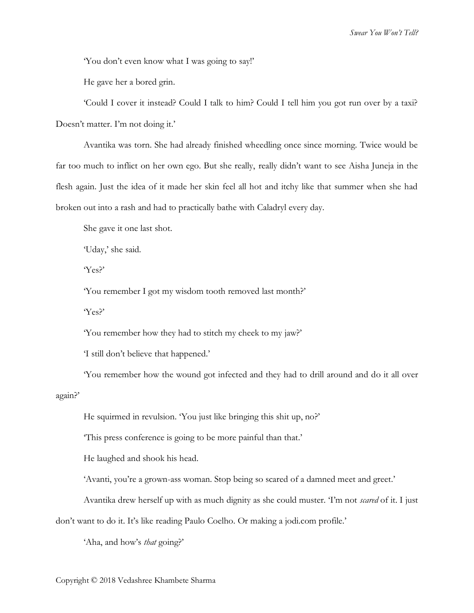'You don't even know what I was going to say!'

He gave her a bored grin.

'Could I cover it instead? Could I talk to him? Could I tell him you got run over by a taxi? Doesn't matter. I'm not doing it.'

Avantika was torn. She had already finished wheedling once since morning. Twice would be far too much to inflict on her own ego. But she really, really didn't want to see Aisha Juneja in the flesh again. Just the idea of it made her skin feel all hot and itchy like that summer when she had broken out into a rash and had to practically bathe with Caladryl every day.

She gave it one last shot.

'Uday,' she said.

'Yes?'

'You remember I got my wisdom tooth removed last month?'

'Yes?'

'You remember how they had to stitch my cheek to my jaw?'

'I still don't believe that happened.'

'You remember how the wound got infected and they had to drill around and do it all over again?'

He squirmed in revulsion. 'You just like bringing this shit up, no?'

'This press conference is going to be more painful than that.'

He laughed and shook his head.

'Avanti, you're a grown-ass woman. Stop being so scared of a damned meet and greet.'

Avantika drew herself up with as much dignity as she could muster. 'I'm not *scared* of it. I just

don't want to do it. It's like reading Paulo Coelho. Or making a jodi.com profile.'

'Aha, and how's *that* going?'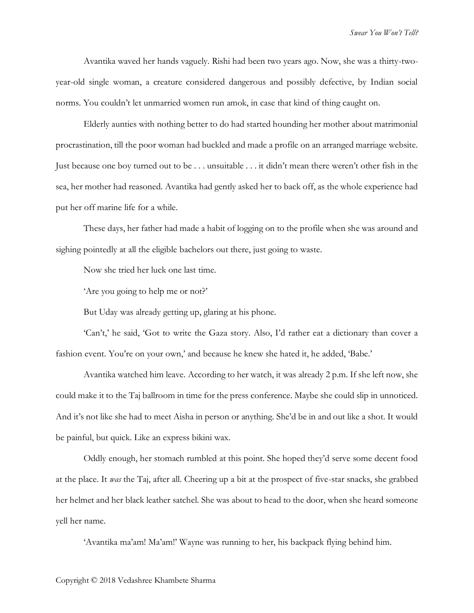Avantika waved her hands vaguely. Rishi had been two years ago. Now, she was a thirty-twoyear-old single woman, a creature considered dangerous and possibly defective, by Indian social norms. You couldn't let unmarried women run amok, in case that kind of thing caught on.

Elderly aunties with nothing better to do had started hounding her mother about matrimonial procrastination, till the poor woman had buckled and made a profile on an arranged marriage website. Just because one boy turned out to be . . . unsuitable . . . it didn't mean there weren't other fish in the sea, her mother had reasoned. Avantika had gently asked her to back off, as the whole experience had put her off marine life for a while.

These days, her father had made a habit of logging on to the profile when she was around and sighing pointedly at all the eligible bachelors out there, just going to waste.

Now she tried her luck one last time.

'Are you going to help me or not?'

But Uday was already getting up, glaring at his phone.

'Can't,' he said, 'Got to write the Gaza story. Also, I'd rather eat a dictionary than cover a fashion event. You're on your own,' and because he knew she hated it, he added, 'Babe.'

Avantika watched him leave. According to her watch, it was already 2 p.m. If she left now, she could make it to the Taj ballroom in time for the press conference. Maybe she could slip in unnoticed. And it's not like she had to meet Aisha in person or anything. She'd be in and out like a shot. It would be painful, but quick. Like an express bikini wax.

Oddly enough, her stomach rumbled at this point. She hoped they'd serve some decent food at the place. It *was* the Taj, after all. Cheering up a bit at the prospect of five-star snacks, she grabbed her helmet and her black leather satchel. She was about to head to the door, when she heard someone yell her name.

'Avantika ma'am! Ma'am!' Wayne was running to her, his backpack flying behind him.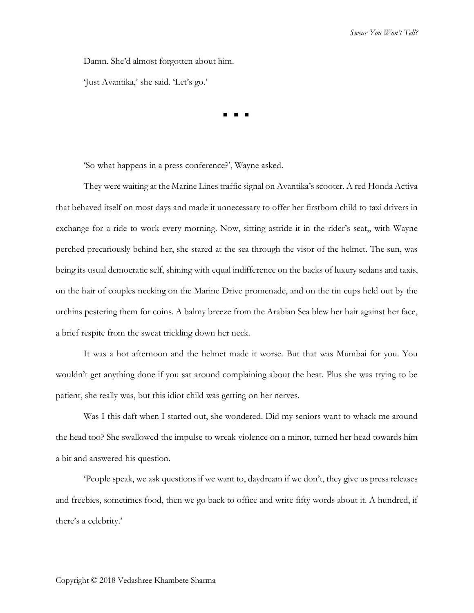Damn. She'd almost forgotten about him.

'Just Avantika,' she said. 'Let's go.'

◼ ◼ ◼

'So what happens in a press conference?', Wayne asked.

They were waiting at the Marine Lines traffic signal on Avantika's scooter. A red Honda Activa that behaved itself on most days and made it unnecessary to offer her firstborn child to taxi drivers in exchange for a ride to work every morning. Now, sitting astride it in the rider's seat,, with Wayne perched precariously behind her, she stared at the sea through the visor of the helmet. The sun, was being its usual democratic self, shining with equal indifference on the backs of luxury sedans and taxis, on the hair of couples necking on the Marine Drive promenade, and on the tin cups held out by the urchins pestering them for coins. A balmy breeze from the Arabian Sea blew her hair against her face, a brief respite from the sweat trickling down her neck.

It was a hot afternoon and the helmet made it worse. But that was Mumbai for you. You wouldn't get anything done if you sat around complaining about the heat. Plus she was trying to be patient, she really was, but this idiot child was getting on her nerves.

Was I this daft when I started out, she wondered. Did my seniors want to whack me around the head too? She swallowed the impulse to wreak violence on a minor, turned her head towards him a bit and answered his question.

'People speak, we ask questions if we want to, daydream if we don't, they give us press releases and freebies, sometimes food, then we go back to office and write fifty words about it. A hundred, if there's a celebrity.'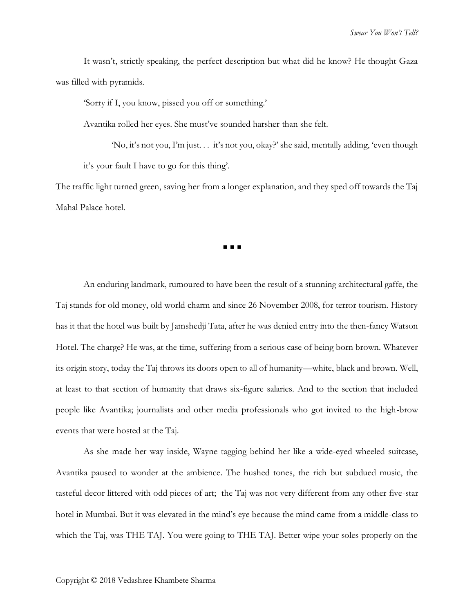It wasn't, strictly speaking, the perfect description but what did he know? He thought Gaza was filled with pyramids.

'Sorry if I, you know, pissed you off or something.'

Avantika rolled her eyes. She must've sounded harsher than she felt.

'No, it's not you, I'm just. . . it's not you, okay?' she said, mentally adding, 'even though it's your fault I have to go for this thing'.

The traffic light turned green, saving her from a longer explanation, and they sped off towards the Taj Mahal Palace hotel.

◼ ◼ ◼

An enduring landmark, rumoured to have been the result of a stunning architectural gaffe, the Taj stands for old money, old world charm and since 26 November 2008, for terror tourism. History has it that the hotel was built by Jamshedji Tata, after he was denied entry into the then-fancy Watson Hotel. The charge? He was, at the time, suffering from a serious case of being born brown. Whatever its origin story, today the Taj throws its doors open to all of humanity—white, black and brown. Well, at least to that section of humanity that draws six-figure salaries. And to the section that included people like Avantika; journalists and other media professionals who got invited to the high-brow events that were hosted at the Taj.

As she made her way inside, Wayne tagging behind her like a wide-eyed wheeled suitcase, Avantika paused to wonder at the ambience. The hushed tones, the rich but subdued music, the tasteful decor littered with odd pieces of art; the Taj was not very different from any other five-star hotel in Mumbai. But it was elevated in the mind's eye because the mind came from a middle-class to which the Taj, was THE TAJ. You were going to THE TAJ. Better wipe your soles properly on the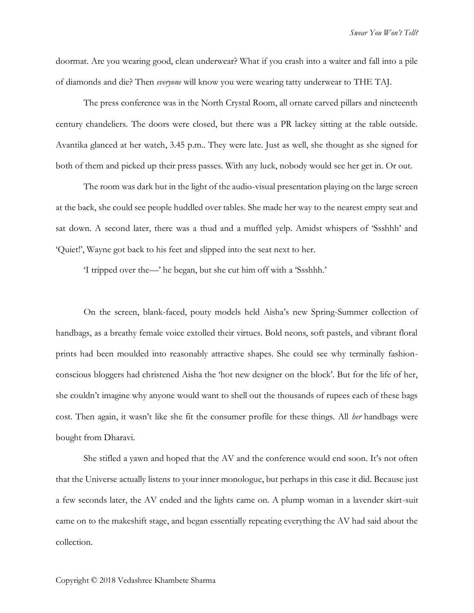doormat. Are you wearing good, clean underwear? What if you crash into a waiter and fall into a pile of diamonds and die? Then *everyone* will know you were wearing tatty underwear to THE TAJ.

The press conference was in the North Crystal Room, all ornate carved pillars and nineteenth century chandeliers. The doors were closed, but there was a PR lackey sitting at the table outside. Avantika glanced at her watch, 3.45 p.m.. They were late. Just as well, she thought as she signed for both of them and picked up their press passes. With any luck, nobody would see her get in. Or out.

The room was dark but in the light of the audio-visual presentation playing on the large screen at the back, she could see people huddled over tables. She made her way to the nearest empty seat and sat down. A second later, there was a thud and a muffled yelp. Amidst whispers of 'Ssshhh' and 'Quiet!', Wayne got back to his feet and slipped into the seat next to her.

'I tripped over the—' he began, but she cut him off with a 'Ssshhh.'

On the screen, blank-faced, pouty models held Aisha's new Spring-Summer collection of handbags, as a breathy female voice extolled their virtues. Bold neons, soft pastels, and vibrant floral prints had been moulded into reasonably attractive shapes. She could see why terminally fashionconscious bloggers had christened Aisha the 'hot new designer on the block'. But for the life of her, she couldn't imagine why anyone would want to shell out the thousands of rupees each of these bags cost. Then again, it wasn't like she fit the consumer profile for these things. All *her* handbags were bought from Dharavi.

She stifled a yawn and hoped that the AV and the conference would end soon. It's not often that the Universe actually listens to your inner monologue, but perhaps in this case it did. Because just a few seconds later, the AV ended and the lights came on. A plump woman in a lavender skirt-suit came on to the makeshift stage, and began essentially repeating everything the AV had said about the collection.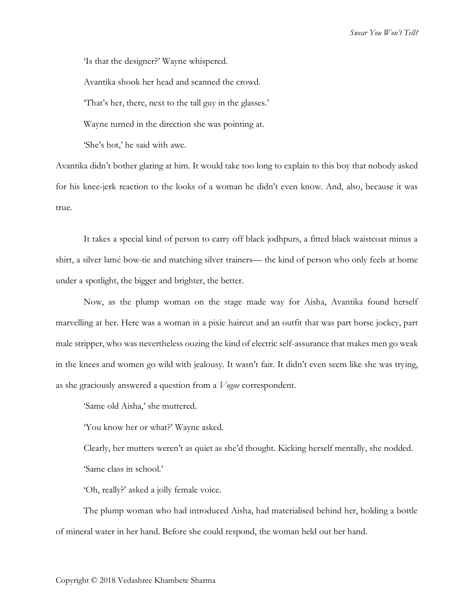'Is that the designer?' Wayne whispered.

Avantika shook her head and scanned the crowd.

'That's her, there, next to the tall guy in the glasses.'

Wayne turned in the direction she was pointing at.

'She's hot,' he said with awe.

Avantika didn't bother glaring at him. It would take too long to explain to this boy that nobody asked for his knee-jerk reaction to the looks of a woman he didn't even know. And, also, because it was true.

It takes a special kind of person to carry off black jodhpurs, a fitted black waistcoat minus a shirt, a silver lamé bow-tie and matching silver trainers— the kind of person who only feels at home under a spotlight, the bigger and brighter, the better.

Now, as the plump woman on the stage made way for Aisha, Avantika found herself marvelling at her. Here was a woman in a pixie haircut and an outfit that was part horse jockey, part male stripper, who was nevertheless oozing the kind of electric self-assurance that makes men go weak in the knees and women go wild with jealousy. It wasn't fair. It didn't even seem like she was trying, as she graciously answered a question from a *Vogue* correspondent.

'Same old Aisha,' she muttered.

'You know her or what?' Wayne asked.

Clearly, her mutters weren't as quiet as she'd thought. Kicking herself mentally, she nodded. 'Same class in school.'

'Oh, really?' asked a jolly female voice.

The plump woman who had introduced Aisha, had materialised behind her, holding a bottle of mineral water in her hand. Before she could respond, the woman held out her hand.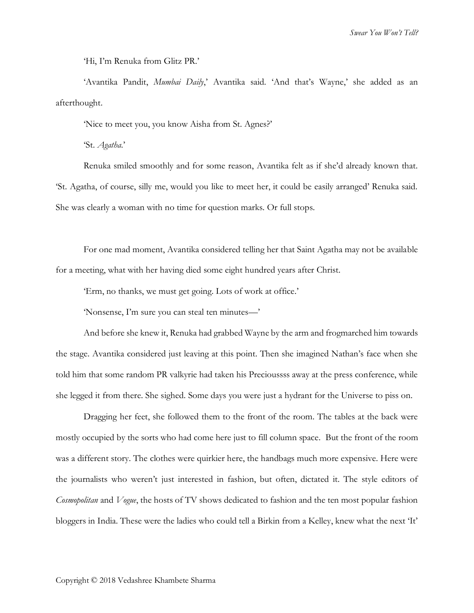*Swear You Won't Tell?*

'Hi, I'm Renuka from Glitz PR.'

'Avantika Pandit, *Mumbai Daily*,' Avantika said. 'And that's Wayne,' she added as an afterthought.

'Nice to meet you, you know Aisha from St. Agnes?'

'St. *Agatha*.'

Renuka smiled smoothly and for some reason, Avantika felt as if she'd already known that. 'St. Agatha, of course, silly me, would you like to meet her, it could be easily arranged' Renuka said. She was clearly a woman with no time for question marks. Or full stops.

For one mad moment, Avantika considered telling her that Saint Agatha may not be available for a meeting, what with her having died some eight hundred years after Christ.

'Erm, no thanks, we must get going. Lots of work at office.'

'Nonsense, I'm sure you can steal ten minutes—'

And before she knew it, Renuka had grabbed Wayne by the arm and frogmarched him towards the stage. Avantika considered just leaving at this point. Then she imagined Nathan's face when she told him that some random PR valkyrie had taken his Precioussss away at the press conference, while she legged it from there. She sighed. Some days you were just a hydrant for the Universe to piss on.

Dragging her feet, she followed them to the front of the room. The tables at the back were mostly occupied by the sorts who had come here just to fill column space. But the front of the room was a different story. The clothes were quirkier here, the handbags much more expensive. Here were the journalists who weren't just interested in fashion, but often, dictated it. The style editors of *Cosmopolitan* and *Vogue*, the hosts of TV shows dedicated to fashion and the ten most popular fashion bloggers in India. These were the ladies who could tell a Birkin from a Kelley, knew what the next 'It'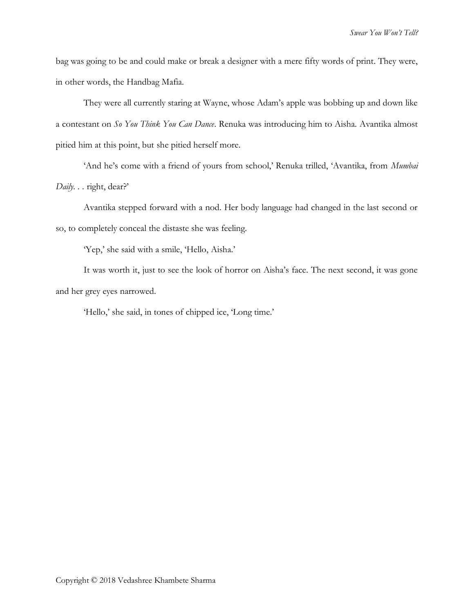bag was going to be and could make or break a designer with a mere fifty words of print. They were, in other words, the Handbag Mafia.

They were all currently staring at Wayne, whose Adam's apple was bobbing up and down like a contestant on *So You Think You Can Dance*. Renuka was introducing him to Aisha. Avantika almost pitied him at this point, but she pitied herself more.

'And he's come with a friend of yours from school,' Renuka trilled, 'Avantika, from *Mumbai Daily. . .* right, dear?'

Avantika stepped forward with a nod. Her body language had changed in the last second or so, to completely conceal the distaste she was feeling.

'Yep,' she said with a smile, 'Hello, Aisha.'

It was worth it, just to see the look of horror on Aisha's face. The next second, it was gone and her grey eyes narrowed.

'Hello,' she said, in tones of chipped ice, 'Long time.'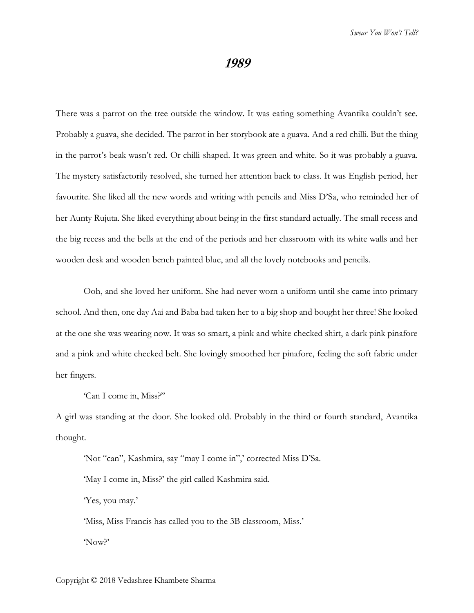## **1989**

There was a parrot on the tree outside the window. It was eating something Avantika couldn't see. Probably a guava, she decided. The parrot in her storybook ate a guava. And a red chilli. But the thing in the parrot's beak wasn't red. Or chilli-shaped. It was green and white. So it was probably a guava. The mystery satisfactorily resolved, she turned her attention back to class. It was English period, her favourite. She liked all the new words and writing with pencils and Miss D'Sa, who reminded her of her Aunty Rujuta. She liked everything about being in the first standard actually. The small recess and the big recess and the bells at the end of the periods and her classroom with its white walls and her wooden desk and wooden bench painted blue, and all the lovely notebooks and pencils.

Ooh, and she loved her uniform. She had never worn a uniform until she came into primary school. And then, one day Aai and Baba had taken her to a big shop and bought her three! She looked at the one she was wearing now. It was so smart, a pink and white checked shirt, a dark pink pinafore and a pink and white checked belt. She lovingly smoothed her pinafore, feeling the soft fabric under her fingers.

'Can I come in, Miss?"

A girl was standing at the door. She looked old. Probably in the third or fourth standard, Avantika thought.

'Not "can", Kashmira, say "may I come in",' corrected Miss D'Sa.

'May I come in, Miss?' the girl called Kashmira said.

'Yes, you may.'

'Miss, Miss Francis has called you to the 3B classroom, Miss.' 'Now?'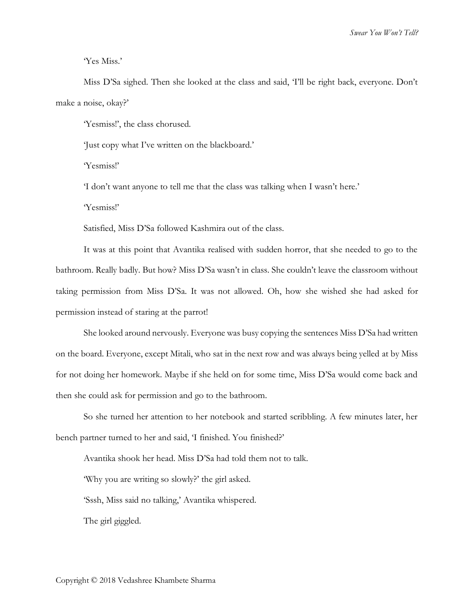'Yes Miss.'

Miss D'Sa sighed. Then she looked at the class and said, 'I'll be right back, everyone. Don't make a noise, okay?'

'Yesmiss!', the class chorused.

'Just copy what I've written on the blackboard.'

'Yesmiss!'

'I don't want anyone to tell me that the class was talking when I wasn't here.'

'Yesmiss!'

Satisfied, Miss D'Sa followed Kashmira out of the class.

It was at this point that Avantika realised with sudden horror, that she needed to go to the bathroom. Really badly. But how? Miss D'Sa wasn't in class. She couldn't leave the classroom without taking permission from Miss D'Sa. It was not allowed. Oh, how she wished she had asked for permission instead of staring at the parrot!

She looked around nervously. Everyone was busy copying the sentences Miss D'Sa had written on the board. Everyone, except Mitali, who sat in the next row and was always being yelled at by Miss for not doing her homework. Maybe if she held on for some time, Miss D'Sa would come back and then she could ask for permission and go to the bathroom.

So she turned her attention to her notebook and started scribbling. A few minutes later, her bench partner turned to her and said, 'I finished. You finished?'

Avantika shook her head. Miss D'Sa had told them not to talk.

'Why you are writing so slowly?' the girl asked.

'Sssh, Miss said no talking,' Avantika whispered.

The girl giggled.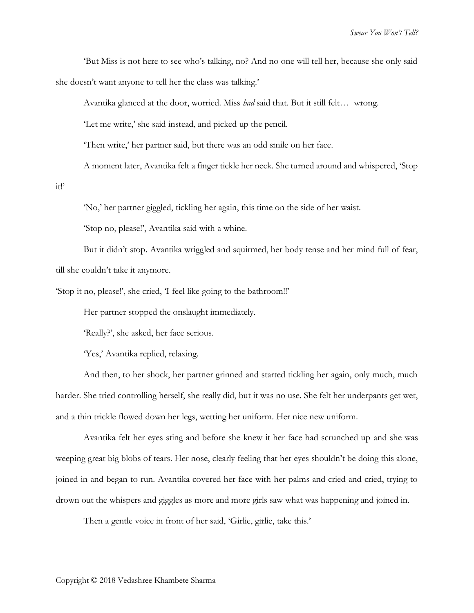'But Miss is not here to see who's talking, no? And no one will tell her, because she only said she doesn't want anyone to tell her the class was talking.'

Avantika glanced at the door, worried. Miss *had* said that. But it still felt… wrong.

'Let me write,' she said instead, and picked up the pencil.

'Then write,' her partner said, but there was an odd smile on her face.

A moment later, Avantika felt a finger tickle her neck. She turned around and whispered, 'Stop

it!'

'No,' her partner giggled, tickling her again, this time on the side of her waist.

'Stop no, please!', Avantika said with a whine.

But it didn't stop. Avantika wriggled and squirmed, her body tense and her mind full of fear, till she couldn't take it anymore.

'Stop it no, please!', she cried, 'I feel like going to the bathroom!!'

Her partner stopped the onslaught immediately.

'Really?', she asked, her face serious.

'Yes,' Avantika replied, relaxing.

And then, to her shock, her partner grinned and started tickling her again, only much, much harder. She tried controlling herself, she really did, but it was no use. She felt her underpants get wet, and a thin trickle flowed down her legs, wetting her uniform. Her nice new uniform.

Avantika felt her eyes sting and before she knew it her face had scrunched up and she was weeping great big blobs of tears. Her nose, clearly feeling that her eyes shouldn't be doing this alone, joined in and began to run. Avantika covered her face with her palms and cried and cried, trying to drown out the whispers and giggles as more and more girls saw what was happening and joined in.

Then a gentle voice in front of her said, 'Girlie, girlie, take this.'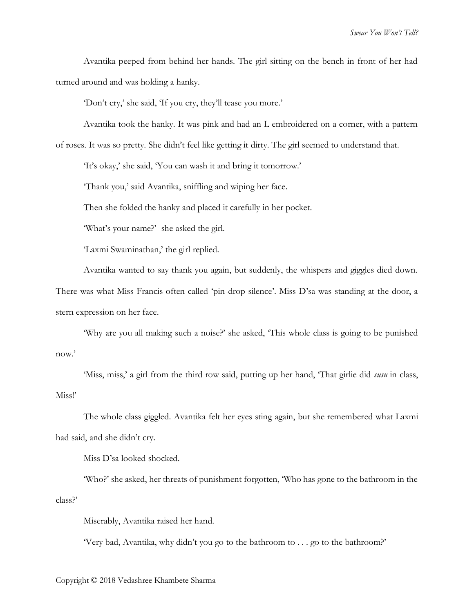Avantika peeped from behind her hands. The girl sitting on the bench in front of her had turned around and was holding a hanky.

'Don't cry,' she said, 'If you cry, they'll tease you more.'

Avantika took the hanky. It was pink and had an L embroidered on a corner, with a pattern

of roses. It was so pretty. She didn't feel like getting it dirty. The girl seemed to understand that.

'It's okay,' she said, 'You can wash it and bring it tomorrow.'

'Thank you,' said Avantika, sniffling and wiping her face.

Then she folded the hanky and placed it carefully in her pocket.

'What's your name?' she asked the girl.

'Laxmi Swaminathan,' the girl replied.

Avantika wanted to say thank you again, but suddenly, the whispers and giggles died down.

There was what Miss Francis often called 'pin-drop silence'. Miss D'sa was standing at the door, a stern expression on her face.

'Why are you all making such a noise?' she asked, 'This whole class is going to be punished now.'

'Miss, miss,' a girl from the third row said, putting up her hand, 'That girlie did *susu* in class, Miss!'

The whole class giggled. Avantika felt her eyes sting again, but she remembered what Laxmi had said, and she didn't cry.

Miss D'sa looked shocked.

'Who?' she asked, her threats of punishment forgotten, 'Who has gone to the bathroom in the class?'

Miserably, Avantika raised her hand.

'Very bad, Avantika, why didn't you go to the bathroom to . . . go to the bathroom?'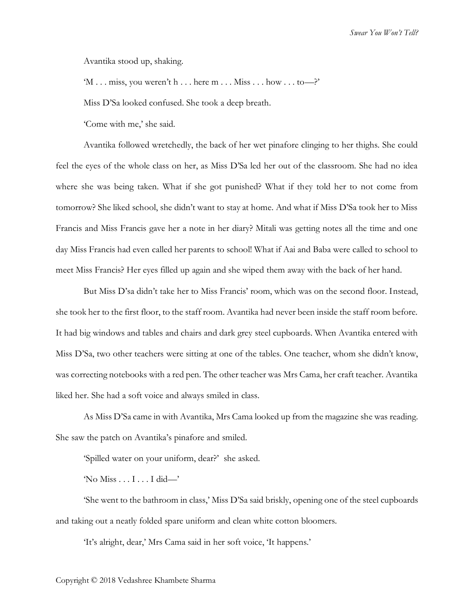Avantika stood up, shaking.

'M . . . miss, you weren't h . . . here  $m \dots M$ iss  $\dots$  how  $\dots$  to—?'

Miss D'Sa looked confused. She took a deep breath.

'Come with me,' she said.

Avantika followed wretchedly, the back of her wet pinafore clinging to her thighs. She could feel the eyes of the whole class on her, as Miss D'Sa led her out of the classroom. She had no idea where she was being taken. What if she got punished? What if they told her to not come from tomorrow? She liked school, she didn't want to stay at home. And what if Miss D'Sa took her to Miss Francis and Miss Francis gave her a note in her diary? Mitali was getting notes all the time and one day Miss Francis had even called her parents to school! What if Aai and Baba were called to school to meet Miss Francis? Her eyes filled up again and she wiped them away with the back of her hand.

But Miss D'sa didn't take her to Miss Francis' room, which was on the second floor. Instead, she took her to the first floor, to the staff room. Avantika had never been inside the staff room before. It had big windows and tables and chairs and dark grey steel cupboards. When Avantika entered with Miss D'Sa, two other teachers were sitting at one of the tables. One teacher, whom she didn't know, was correcting notebooks with a red pen. The other teacher was Mrs Cama, her craft teacher. Avantika liked her. She had a soft voice and always smiled in class.

As Miss D'Sa came in with Avantika, Mrs Cama looked up from the magazine she was reading. She saw the patch on Avantika's pinafore and smiled.

'Spilled water on your uniform, dear?' she asked.

'No Miss . . . I . . . I did—'

'She went to the bathroom in class,' Miss D'Sa said briskly, opening one of the steel cupboards and taking out a neatly folded spare uniform and clean white cotton bloomers.

'It's alright, dear,' Mrs Cama said in her soft voice, 'It happens.'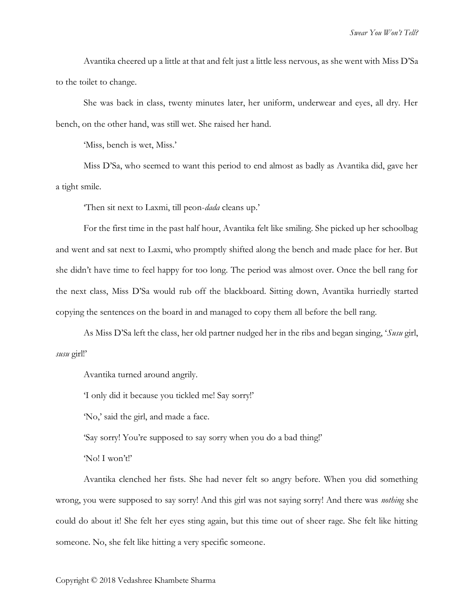Avantika cheered up a little at that and felt just a little less nervous, as she went with Miss D'Sa to the toilet to change.

She was back in class, twenty minutes later, her uniform, underwear and eyes, all dry. Her bench, on the other hand, was still wet. She raised her hand.

'Miss, bench is wet, Miss.'

Miss D'Sa, who seemed to want this period to end almost as badly as Avantika did, gave her a tight smile.

'Then sit next to Laxmi, till peon-*dada* cleans up.'

For the first time in the past half hour, Avantika felt like smiling. She picked up her schoolbag and went and sat next to Laxmi, who promptly shifted along the bench and made place for her. But she didn't have time to feel happy for too long. The period was almost over. Once the bell rang for the next class, Miss D'Sa would rub off the blackboard. Sitting down, Avantika hurriedly started copying the sentences on the board in and managed to copy them all before the bell rang.

As Miss D'Sa left the class, her old partner nudged her in the ribs and began singing, '*Susu* girl, *susu* girl!'

Avantika turned around angrily.

'I only did it because you tickled me! Say sorry!'

'No,' said the girl, and made a face.

'Say sorry! You're supposed to say sorry when you do a bad thing!'

'No! I won't!'

Avantika clenched her fists. She had never felt so angry before. When you did something wrong, you were supposed to say sorry! And this girl was not saying sorry! And there was *nothing* she could do about it! She felt her eyes sting again, but this time out of sheer rage. She felt like hitting someone. No, she felt like hitting a very specific someone.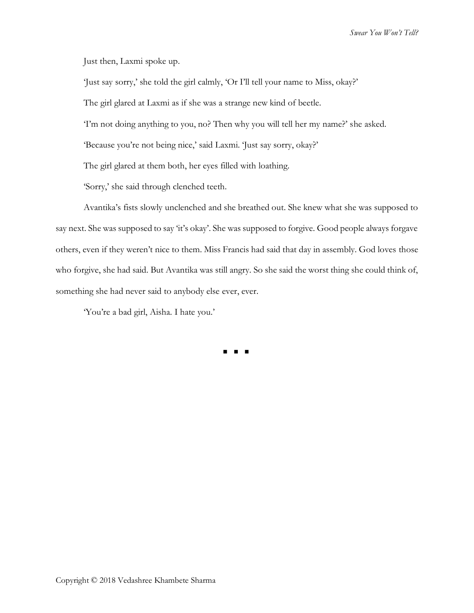*Swear You Won't Tell?*

Just then, Laxmi spoke up.

'Just say sorry,' she told the girl calmly, 'Or I'll tell your name to Miss, okay?'

The girl glared at Laxmi as if she was a strange new kind of beetle.

'I'm not doing anything to you, no? Then why you will tell her my name?' she asked.

'Because you're not being nice,' said Laxmi. 'Just say sorry, okay?'

The girl glared at them both, her eyes filled with loathing.

'Sorry,' she said through clenched teeth.

Avantika's fists slowly unclenched and she breathed out. She knew what she was supposed to say next. She was supposed to say 'it's okay'. She was supposed to forgive. Good people always forgave others, even if they weren't nice to them. Miss Francis had said that day in assembly. God loves those who forgive, she had said. But Avantika was still angry. So she said the worst thing she could think of, something she had never said to anybody else ever, ever.

'You're a bad girl, Aisha. I hate you.'

◼ ◼ ◼